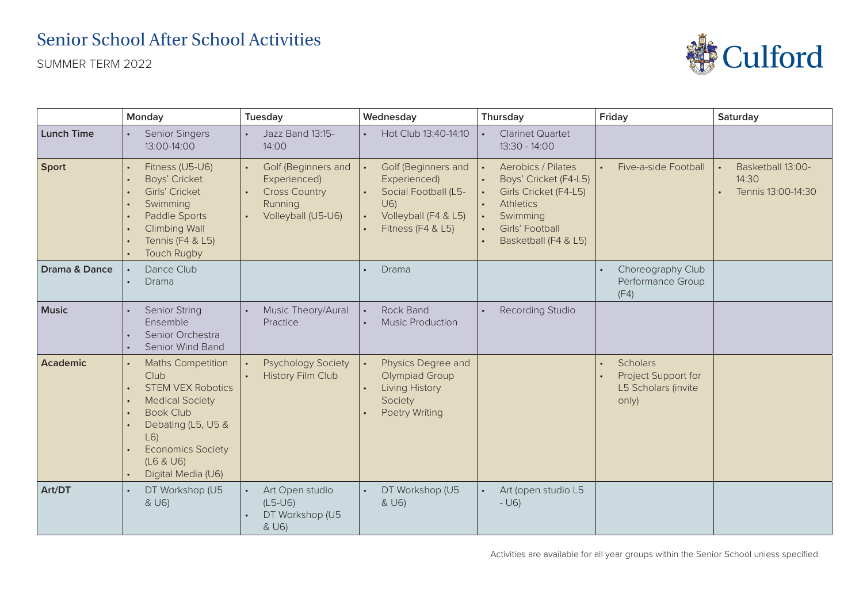## Senior School After School Activities

SUMMER TERM 2022



|                          | Monday                                                                                                                                                                                                                            | Tuesday                                                                                      | Wednesday                                                                                                        | Thursday                                                                                                                                               | Friday                                                          | Saturday                                         |
|--------------------------|-----------------------------------------------------------------------------------------------------------------------------------------------------------------------------------------------------------------------------------|----------------------------------------------------------------------------------------------|------------------------------------------------------------------------------------------------------------------|--------------------------------------------------------------------------------------------------------------------------------------------------------|-----------------------------------------------------------------|--------------------------------------------------|
| <b>Lunch Time</b>        | <b>Senior Singers</b><br>13:00-14:00                                                                                                                                                                                              | Jazz Band 13:15-<br>14:00                                                                    | Hot Club 13:40-14:10                                                                                             | <b>Clarinet Quartet</b><br>13:30 - 14:00                                                                                                               |                                                                 |                                                  |
| <b>Sport</b>             | Fitness (U5-U6)<br>Boys' Cricket<br>Girls' Cricket<br>$\bullet$<br>Swimming<br>$\bullet$<br>Paddle Sports<br>$\bullet$<br><b>Climbing Wall</b><br>Tennis (F4 & L5)<br><b>Touch Rugby</b>                                          | Golf (Beginners and<br>Experienced)<br><b>Cross Country</b><br>Running<br>Volleyball (U5-U6) | Golf (Beginners and<br>Experienced)<br>Social Football (L5-<br>U(6)<br>Volleyball (F4 & L5)<br>Fitness (F4 & L5) | <b>Aerobics / Pilates</b><br>Boys' Cricket (F4-L5)<br>Girls Cricket (F4-L5)<br><b>Athletics</b><br>Swimming<br>Girls' Football<br>Basketball (F4 & L5) | Five-a-side Football                                            | Basketball 13:00-<br>14:30<br>Tennis 13:00-14:30 |
| <b>Drama &amp; Dance</b> | Dance Club<br>Drama                                                                                                                                                                                                               |                                                                                              | Drama                                                                                                            |                                                                                                                                                        | Choreography Club<br>Performance Group<br>(F4)                  |                                                  |
| <b>Music</b>             | <b>Senior String</b><br>Ensemble<br>Senior Orchestra<br>Senior Wind Band                                                                                                                                                          | Music Theory/Aural<br>Practice                                                               | <b>Rock Band</b><br><b>Music Production</b>                                                                      | <b>Recording Studio</b>                                                                                                                                |                                                                 |                                                  |
| Academic                 | <b>Maths Competition</b><br>Club<br><b>STEM VEX Robotics</b><br><b>Medical Society</b><br>$\bullet$<br><b>Book Club</b><br>$\bullet$<br>Debating (L5, U5 &<br>L(6)<br><b>Economics Society</b><br>(L6 & U6)<br>Digital Media (U6) | <b>Psychology Society</b><br><b>History Film Club</b>                                        | Physics Degree and<br><b>Olympiad Group</b><br>Living History<br>Society<br><b>Poetry Writing</b>                |                                                                                                                                                        | Scholars<br>Project Support for<br>L5 Scholars (invite<br>only) |                                                  |
| Art/DT                   | DT Workshop (U5<br>& U6)                                                                                                                                                                                                          | Art Open studio<br>$(L5-U6)$<br>DT Workshop (U5<br>& U6)                                     | DT Workshop (U5<br>& U6)                                                                                         | Art (open studio L5<br>$-$ U6)                                                                                                                         |                                                                 |                                                  |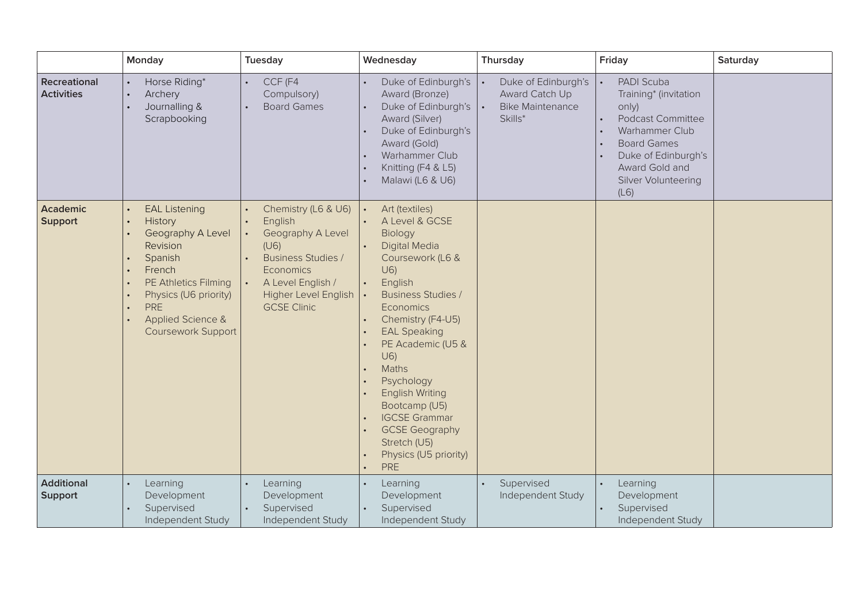|                                          | Monday                                                                                                                                                                                                                           | Tuesday                                                                                                                                                                  | Wednesday                                                                                                                                                                                                                                                                                                                                                                                              | Thursday                                                                           | Friday                                                                                                                                                                                   | Saturday |
|------------------------------------------|----------------------------------------------------------------------------------------------------------------------------------------------------------------------------------------------------------------------------------|--------------------------------------------------------------------------------------------------------------------------------------------------------------------------|--------------------------------------------------------------------------------------------------------------------------------------------------------------------------------------------------------------------------------------------------------------------------------------------------------------------------------------------------------------------------------------------------------|------------------------------------------------------------------------------------|------------------------------------------------------------------------------------------------------------------------------------------------------------------------------------------|----------|
| <b>Recreational</b><br><b>Activities</b> | Horse Riding*<br>Archery<br>$\bullet$<br>Journalling &<br>Scrapbooking                                                                                                                                                           | CCF (F4<br>Compulsory)<br><b>Board Games</b>                                                                                                                             | Duke of Edinburgh's<br>Award (Bronze)<br>Duke of Edinburgh's<br>Award (Silver)<br>Duke of Edinburgh's<br>Award (Gold)<br>Warhammer Club<br>Knitting (F4 & L5)<br>Malawi (L6 & U6)                                                                                                                                                                                                                      | Duke of Edinburgh's<br><b>Award Catch Up</b><br><b>Bike Maintenance</b><br>Skills* | PADI Scuba<br>Training* (invitation<br>only)<br><b>Podcast Committee</b><br>Warhammer Club<br><b>Board Games</b><br>Duke of Edinburgh's<br>Award Gold and<br>Silver Volunteering<br>(L6) |          |
| <b>Academic</b><br><b>Support</b>        | <b>EAL Listening</b><br>History<br>Geography A Level<br>Revision<br>Spanish<br>French<br>PE Athletics Filming<br>$\bullet$<br>Physics (U6 priority)<br>$\bullet$<br><b>PRE</b><br>Applied Science &<br><b>Coursework Support</b> | Chemistry (L6 & U6)<br>English<br>Geography A Level<br>(U6)<br><b>Business Studies /</b><br>Economics<br>A Level English /<br>Higher Level English<br><b>GCSE Clinic</b> | Art (textiles)<br>A Level & GCSE<br>Biology<br><b>Digital Media</b><br>Coursework (L6 &<br>U6)<br>English<br><b>Business Studies /</b><br>Economics<br>Chemistry (F4-U5)<br><b>EAL Speaking</b><br>PE Academic (U5 &<br>U(6)<br>Maths<br>Psychology<br><b>English Writing</b><br>Bootcamp (U5)<br><b>IGCSE Grammar</b><br><b>GCSE Geography</b><br>Stretch (U5)<br>Physics (U5 priority)<br><b>PRE</b> |                                                                                    |                                                                                                                                                                                          |          |
| <b>Additional</b><br>Support             | Learning<br>Development<br>Supervised<br>Independent Study                                                                                                                                                                       | Learning<br>Development<br>Supervised<br>Independent Study                                                                                                               | Learning<br>Development<br>Supervised<br>Independent Study                                                                                                                                                                                                                                                                                                                                             | Supervised<br>Independent Study                                                    | Learning<br>Development<br>Supervised<br>Independent Study                                                                                                                               |          |